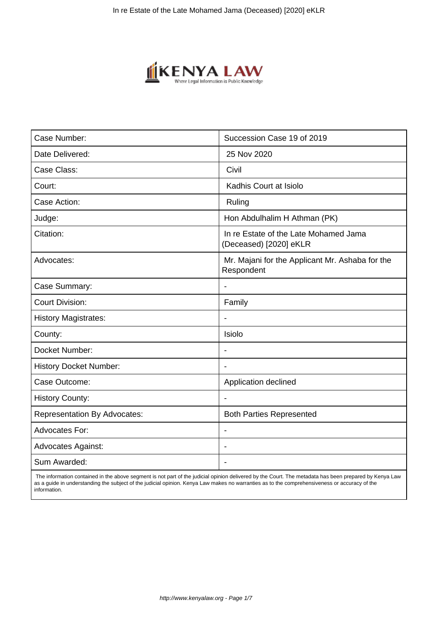

| Case Number:                        | Succession Case 19 of 2019                                      |
|-------------------------------------|-----------------------------------------------------------------|
| Date Delivered:                     | 25 Nov 2020                                                     |
| Case Class:                         | Civil                                                           |
| Court:                              | Kadhis Court at Isiolo                                          |
| Case Action:                        | Ruling                                                          |
| Judge:                              | Hon Abdulhalim H Athman (PK)                                    |
| Citation:                           | In re Estate of the Late Mohamed Jama<br>(Deceased) [2020] eKLR |
| Advocates:                          | Mr. Majani for the Applicant Mr. Ashaba for the<br>Respondent   |
| Case Summary:                       | $\overline{\phantom{a}}$                                        |
| <b>Court Division:</b>              | Family                                                          |
| <b>History Magistrates:</b>         |                                                                 |
| County:                             | Isiolo                                                          |
| Docket Number:                      | $\overline{\phantom{a}}$                                        |
| <b>History Docket Number:</b>       |                                                                 |
| Case Outcome:                       | Application declined                                            |
| <b>History County:</b>              |                                                                 |
| <b>Representation By Advocates:</b> | <b>Both Parties Represented</b>                                 |
| <b>Advocates For:</b>               | $\blacksquare$                                                  |
| <b>Advocates Against:</b>           |                                                                 |
| Sum Awarded:                        | $\blacksquare$                                                  |

 The information contained in the above segment is not part of the judicial opinion delivered by the Court. The metadata has been prepared by Kenya Law as a guide in understanding the subject of the judicial opinion. Kenya Law makes no warranties as to the comprehensiveness or accuracy of the information.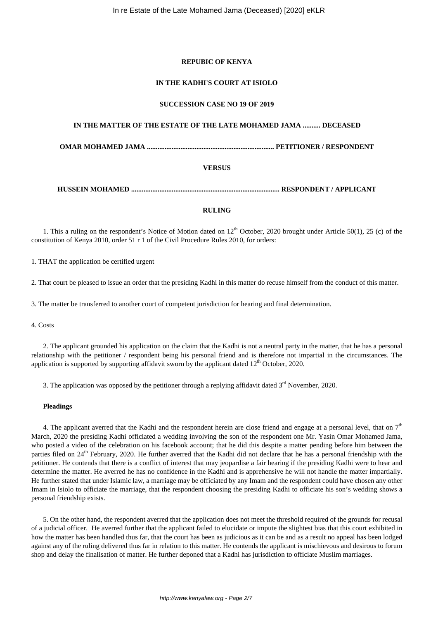# **REPUBIC OF KENYA**

# **IN THE KADHI'S COURT AT ISIOLO**

## **SUCCESSION CASE NO 19 OF 2019**

# **IN THE MATTER OF THE ESTATE OF THE LATE MOHAMED JAMA .......... DECEASED**

**OMAR MOHAMED JAMA ........................................................................ PETITIONER / RESPONDENT**

# **VERSUS**

**HUSSEIN MOHAMED .................................................................................... RESPONDENT / APPLICANT**

## **RULING**

1. This a ruling on the respondent's Notice of Motion dated on  $12<sup>th</sup>$  October, 2020 brought under Article 50(1), 25 (c) of the constitution of Kenya 2010, order 51 r 1 of the Civil Procedure Rules 2010, for orders:

1. THAT the application be certified urgent

2. That court be pleased to issue an order that the presiding Kadhi in this matter do recuse himself from the conduct of this matter.

3. The matter be transferred to another court of competent jurisdiction for hearing and final determination.

4. Costs

2. The applicant grounded his application on the claim that the Kadhi is not a neutral party in the matter, that he has a personal relationship with the petitioner / respondent being his personal friend and is therefore not impartial in the circumstances. The application is supported by supporting affidavit sworn by the applicant dated  $12<sup>th</sup>$  October, 2020.

3. The application was opposed by the petitioner through a replying affidavit dated  $3<sup>rd</sup>$  November, 2020.

## **Pleadings**

4. The applicant averred that the Kadhi and the respondent herein are close friend and engage at a personal level, that on  $7<sup>th</sup>$ March, 2020 the presiding Kadhi officiated a wedding involving the son of the respondent one Mr. Yasin Omar Mohamed Jama, who posted a video of the celebration on his facebook account; that he did this despite a matter pending before him between the parties filed on 24<sup>th</sup> February, 2020. He further averred that the Kadhi did not declare that he has a personal friendship with the petitioner. He contends that there is a conflict of interest that may jeopardise a fair hearing if the presiding Kadhi were to hear and determine the matter. He averred he has no confidence in the Kadhi and is apprehensive he will not handle the matter impartially. He further stated that under Islamic law, a marriage may be officiated by any Imam and the respondent could have chosen any other Imam in Isiolo to officiate the marriage, that the respondent choosing the presiding Kadhi to officiate his son's wedding shows a personal friendship exists.

5. On the other hand, the respondent averred that the application does not meet the threshold required of the grounds for recusal of a judicial officer. He averred further that the applicant failed to elucidate or impute the slightest bias that this court exhibited in how the matter has been handled thus far, that the court has been as judicious as it can be and as a result no appeal has been lodged against any of the ruling delivered thus far in relation to this matter. He contends the applicant is mischievous and desirous to forum shop and delay the finalisation of matter. He further deponed that a Kadhi has jurisdiction to officiate Muslim marriages.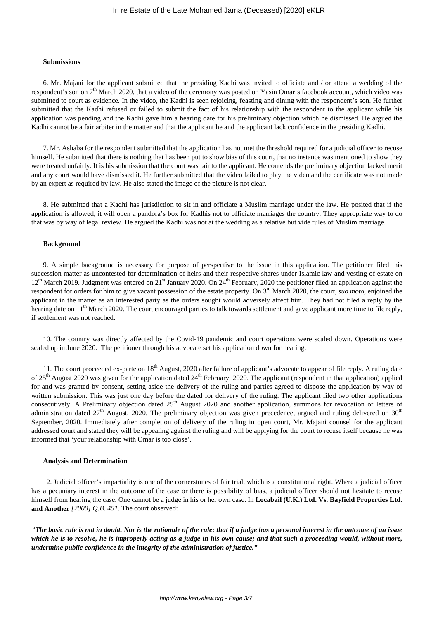## In re Estate of the Late Mohamed Jama (Deceased) [2020] eKLR

#### **Submissions**

6. Mr. Majani for the applicant submitted that the presiding Kadhi was invited to officiate and / or attend a wedding of the respondent's son on 7<sup>th</sup> March 2020, that a video of the ceremony was posted on Yasin Omar's facebook account, which video was submitted to court as evidence. In the video, the Kadhi is seen rejoicing, feasting and dining with the respondent's son. He further submitted that the Kadhi refused or failed to submit the fact of his relationship with the respondent to the applicant while his application was pending and the Kadhi gave him a hearing date for his preliminary objection which he dismissed. He argued the Kadhi cannot be a fair arbiter in the matter and that the applicant he and the applicant lack confidence in the presiding Kadhi.

7. Mr. Ashaba for the respondent submitted that the application has not met the threshold required for a judicial officer to recuse himself. He submitted that there is nothing that has been put to show bias of this court, that no instance was mentioned to show they were treated unfairly. It is his submission that the court was fair to the applicant. He contends the preliminary objection lacked merit and any court would have dismissed it. He further submitted that the video failed to play the video and the certificate was not made by an expert as required by law. He also stated the image of the picture is not clear.

8. He submitted that a Kadhi has jurisdiction to sit in and officiate a Muslim marriage under the law. He posited that if the application is allowed, it will open a pandora's box for Kadhis not to officiate marriages the country. They appropriate way to do that was by way of legal review. He argued the Kadhi was not at the wedding as a relative but vide rules of Muslim marriage.

### **Background**

9. A simple background is necessary for purpose of perspective to the issue in this application. The petitioner filed this succession matter as uncontested for determination of heirs and their respective shares under Islamic law and vesting of estate on 12<sup>th</sup> March 2019. Judgment was entered on 21<sup>st</sup> January 2020. On 24<sup>th</sup> February, 2020 the petitioner filed an application against the respondent for orders for him to give vacant possession of the estate property. On 3rd March 2020, the court, *suo moto*, enjoined the applicant in the matter as an interested party as the orders sought would adversely affect him. They had not filed a reply by the hearing date on  $11<sup>th</sup>$  March 2020. The court encouraged parties to talk towards settlement and gave applicant more time to file reply, if settlement was not reached.

10. The country was directly affected by the Covid-19 pandemic and court operations were scaled down. Operations were scaled up in June 2020. The petitioner through his advocate set his application down for hearing.

11. The court proceeded ex-parte on  $18<sup>th</sup>$  August, 2020 after failure of applicant's advocate to appear of file reply. A ruling date of  $25<sup>th</sup>$  August 2020 was given for the application dated  $24<sup>th</sup>$  February, 2020. The applicant (respondent in that application) applied for and was granted by consent, setting aside the delivery of the ruling and parties agreed to dispose the application by way of written submission. This was just one day before the dated for delivery of the ruling. The applicant filed two other applications consecutively. A Preliminary objection dated 25<sup>th</sup> August 2020 and another application, summons for revocation of letters of administration dated  $27<sup>th</sup>$  August, 2020. The preliminary objection was given precedence, argued and ruling delivered on  $30<sup>th</sup>$ September, 2020. Immediately after completion of delivery of the ruling in open court, Mr. Majani counsel for the applicant addressed court and stated they will be appealing against the ruling and will be applying for the court to recuse itself because he was informed that 'your relationship with Omar is too close'.

#### **Analysis and Determination**

12. Judicial officer's impartiality is one of the cornerstones of fair trial, which is a constitutional right. Where a judicial officer has a pecuniary interest in the outcome of the case or there is possibility of bias, a judicial officer should not hesitate to recuse himself from hearing the case. One cannot be a judge in his or her own case. In **Locabail (U.K.) Ltd. Vs. Bayfield Properties Ltd. and Another** *[2000] Q.B. 451.* The court observed:

*'The basic rule is not in doubt. Nor is the rationale of the rule: that if a judge has a personal interest in the outcome of an issue which he is to resolve, he is improperly acting as a judge in his own cause; and that such a proceeding would, without more, undermine public confidence in the integrity of the administration of justice."*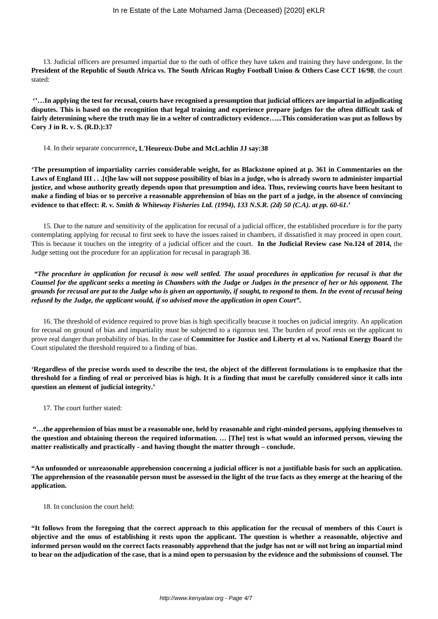13. Judicial officers are presumed impartial due to the oath of office they have taken and training they have undergone. In the **President of the Republic of South Africa vs. The South African Rugby Football Union & Others Case CCT 16/98**, the court stated:

**''…In applying the test for recusal, courts have recognised a presumption that judicial officers are impartial in adjudicating disputes. This is based on the recognition that legal training and experience prepare judges for the often difficult task of fairly determining where the truth may lie in a welter of contradictory evidence…...This consideration was put as follows by Cory J in R. v. S. (R.D.):37**

14. In their separate concurrence**, L'Heureux-Dube and McLachlin JJ say:38**

**'The presumption of impartiality carries considerable weight, for as Blackstone opined at p. 361 in Commentaries on the Laws of England III . . .[t]he law will not suppose possibility of bias in a judge, who is already sworn to administer impartial justice, and whose authority greatly depends upon that presumption and idea. Thus, reviewing courts have been hesitant to make a finding of bias or to perceive a reasonable apprehension of bias on the part of a judge, in the absence of convincing evidence to that effect:** *R. v. Smith & Whiteway Fisheries Ltd. (1994), 133 N.S.R. (2d) 50 (C.A). at pp. 60-61***.'**

15. Due to the nature and sensitivity of the application for recusal of a judicial officer, the established procedure is for the party contemplating applying for recusal to first seek to have the issues raised in chambers, if dissatisfied it may proceed in open court. This is because it touches on the integrity of a judicial officer and the court. **In the Judicial Review case No.124 of 2014,** the Judge setting out the procedure for an application for recusal in paragraph 38.

*"The procedure in application for recusal is now well settled. The usual procedures in application for recusal is that the Counsel for the applicant seeks a meeting in Chambers with the Judge or Judges in the presence of her or his opponent. The grounds for recusal are put to the Judge who is given an opportunity, if sought, to respond to them. In the event of recusal being refused by the Judge, the applicant would, if so advised move the application in open Court".*

16. The threshold of evidence required to prove bias is high specifically beacuse it touches on judicial integrity. An application for recusal on ground of bias and impartiality must be subjected to a rigorous test. The burden of proof rests on the applicant to prove real danger than probability of bias. In the case of **Committee for Justice and Liberty et al vs. National Energy Board** the Court stipulated the threshold required to a finding of bias.

**'Regardless of the precise words used to describe the test, the object of the different formulations is to emphasize that the threshold for a finding of real or perceived bias is high. It is a finding that must be carefully considered since it calls into question an element of judicial integrity.'**

17. The court further stated:

**"…the apprehension of bias must be a reasonable one, held by reasonable and right-minded persons, applying themselves to the question and obtaining thereon the required information. … [The] test is what would an informed person, viewing the matter realistically and practically - and having thought the matter through – conclude.**

**"An unfounded or unreasonable apprehension concerning a judicial officer is not a justifiable basis for such an application. The apprehension of the reasonable person must be assessed in the light of the true facts as they emerge at the hearing of the application.**

18. In conclusion the court held:

**"It follows from the foregoing that the correct approach to this application for the recusal of members of this Court is objective and the onus of establishing it rests upon the applicant. The question is whether a reasonable, objective and informed person would on the correct facts reasonably apprehend that the judge has not or will not bring an impartial mind to bear on the adjudication of the case, that is a mind open to persuasion by the evidence and the submissions of counsel. The**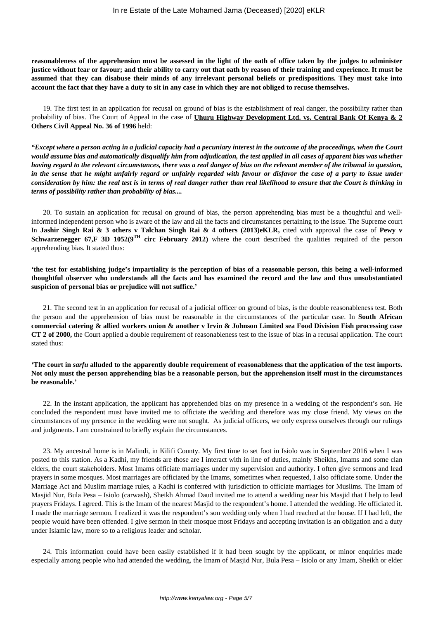**reasonableness of the apprehension must be assessed in the light of the oath of office taken by the judges to administer justice without fear or favour; and their ability to carry out that oath by reason of their training and experience. It must be assumed that they can disabuse their minds of any irrelevant personal beliefs or predispositions. They must take into account the fact that they have a duty to sit in any case in which they are not obliged to recuse themselves.**

19. The first test in an application for recusal on ground of bias is the establishment of real danger, the possibility rather than probability of bias. The Court of Appeal in the case of **Uhuru Highway Development Ltd. vs. Central Bank Of Kenya & 2 Others Civil Appeal No. 36 of 1996** held:

*"Except where a person acting in a judicial capacity had a pecuniary interest in the outcome of the proceedings, when the Court would assume bias and automatically disqualify him from adjudication, the test applied in all cases of apparent bias was whether having regard to the relevant circumstances, there was a real danger of bias on the relevant member of the tribunal in question, in the sense that he might unfairly regard or unfairly regarded with favour or disfavor the case of a party to issue under consideration by him: the real test is in terms of real danger rather than real likelihood to ensure that the Court is thinking in terms of possibility rather than probability of bias....* 

20. To sustain an application for recusal on ground of bias, the person apprehending bias must be a thoughtful and wellinformed independent person who is aware of the law and all the facts and circumstances pertaining to the issue. The Supreme court In **Jashir Singh Rai & 3 others v Talchan Singh Rai & 4 others (2013)eKLR,** cited with approval the case of **Pewy v Schwarzenegger 67,F 3D 1052(9<sup>TH</sup> circ February 2012)** where the court described the qualities required of the person apprehending bias. It stated thus:

**'the test for establishing judge's impartiality is the perception of bias of a reasonable person, this being a well-informed thoughtful observer who understands all the facts and has examined the record and the law and thus unsubstantiated suspicion of personal bias or prejudice will not suffice.'** 

21. The second test in an application for recusal of a judicial officer on ground of bias, is the double reasonableness test. Both the person and the apprehension of bias must be reasonable in the circumstances of the particular case. In **South African commercial catering & allied workers union & another v Irvin & Johnson Limited sea Food Division Fish processing case CT 2 of 2000,** the Court applied a double requirement of reasonableness test to the issue of bias in a recusal application. The court stated thus:

# **'The court in** *sarfu* **alluded to the apparently double requirement of reasonableness that the application of the test imports. Not only must the person apprehending bias be a reasonable person, but the apprehension itself must in the circumstances be reasonable.'**

22. In the instant application, the applicant has apprehended bias on my presence in a wedding of the respondent's son. He concluded the respondent must have invited me to officiate the wedding and therefore was my close friend. My views on the circumstances of my presence in the wedding were not sought. As judicial officers, we only express ourselves through our rulings and judgments. I am constrained to briefly explain the circumstances.

23. My ancestral home is in Malindi, in Kilifi County. My first time to set foot in Isiolo was in September 2016 when I was posted to this station. As a Kadhi, my friends are those are I interact with in line of duties, mainly Sheikhs, Imams and some clan elders, the court stakeholders. Most Imams officiate marriages under my supervision and authority. I often give sermons and lead prayers in some mosques. Most marriages are officiated by the Imams, sometimes when requested, I also officiate some. Under the Marriage Act and Muslim marriage rules, a Kadhi is conferred with jurisdiction to officiate marriages for Muslims. The Imam of Masjid Nur, Bula Pesa – Isiolo (carwash), Sheikh Ahmad Daud invited me to attend a wedding near his Masjid that I help to lead prayers Fridays. I agreed. This is the Imam of the nearest Masjid to the respondent's home. I attended the wedding. He officiated it. I made the marriage sermon. I realized it was the respondent's son wedding only when I had reached at the house. If I had left, the people would have been offended. I give sermon in their mosque most Fridays and accepting invitation is an obligation and a duty under Islamic law, more so to a religious leader and scholar.

24. This information could have been easily established if it had been sought by the applicant, or minor enquiries made especially among people who had attended the wedding, the Imam of Masjid Nur, Bula Pesa – Isiolo or any Imam, Sheikh or elder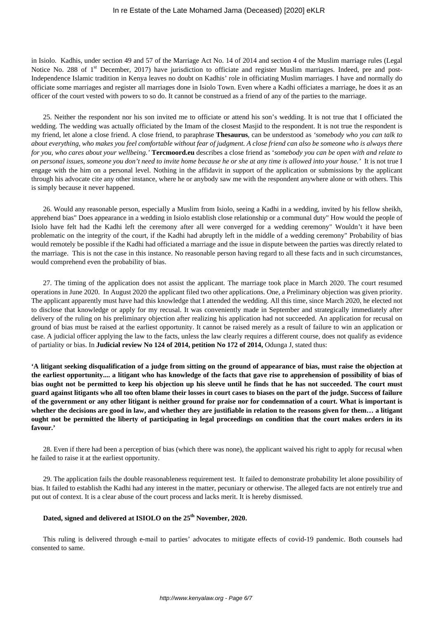in Isiolo. Kadhis, under section 49 and 57 of the Marriage Act No. 14 of 2014 and section 4 of the Muslim marriage rules (Legal Notice No. 288 of 1<sup>st</sup> December, 2017) have jurisdiction to officiate and register Muslim marriages. Indeed, pre and post-Independence Islamic tradition in Kenya leaves no doubt on Kadhis' role in officiating Muslim marriages. I have and normally do officiate some marriages and register all marriages done in Isiolo Town. Even where a Kadhi officiates a marriage, he does it as an officer of the court vested with powers to so do. It cannot be construed as a friend of any of the parties to the marriage.

25. Neither the respondent nor his son invited me to officiate or attend his son's wedding. It is not true that I officiated the wedding. The wedding was actually officiated by the Imam of the closest Masjid to the respondent. It is not true the respondent is my friend, let alone a close friend. A close friend, to paraphrase **Thesaurus**, can be understood as *'somebody who you can talk to about everything, who makes you feel comfortable without fear of judgment. A close friend can also be someone who is always there for you, who cares about your wellbeing.'* **Tercmoord.eu** describes a close friend as '*somebody you can be open with and relate to on personal issues, someone you don't need to invite home because he or she at any time is allowed into your house.'* It is not true I engage with the him on a personal level. Nothing in the affidavit in support of the application or submissions by the applicant through his advocate cite any other instance, where he or anybody saw me with the respondent anywhere alone or with others. This is simply because it never happened.

26. Would any reasonable person, especially a Muslim from Isiolo, seeing a Kadhi in a wedding, invited by his fellow sheikh, apprehend bias" Does appearance in a wedding in Isiolo establish close relationship or a communal duty" How would the people of Isiolo have felt had the Kadhi left the ceremony after all were converged for a wedding ceremony" Wouldn't it have been problematic on the integrity of the court, if the Kadhi had abruptly left in the middle of a wedding ceremony" Probability of bias would remotely be possible if the Kadhi had officiated a marriage and the issue in dispute between the parties was directly related to the marriage. This is not the case in this instance. No reasonable person having regard to all these facts and in such circumstances, would comprehend even the probability of bias.

27. The timing of the application does not assist the applicant. The marriage took place in March 2020. The court resumed operations in June 2020. In August 2020 the applicant filed two other applications. One, a Preliminary objection was given priority. The applicant apparently must have had this knowledge that I attended the wedding. All this time, since March 2020, he elected not to disclose that knowledge or apply for my recusal. It was conveniently made in September and strategically immediately after delivery of the ruling on his preliminary objection after realizing his application had not succeeded. An application for recusal on ground of bias must be raised at the earliest opportunity. It cannot be raised merely as a result of failure to win an application or case. A judicial officer applying the law to the facts, unless the law clearly requires a different course, does not qualify as evidence of partiality or bias. In **Judicial review No 124 of 2014, petition No 172 of 2014,** Odunga J, stated thus:

**'A litigant seeking disqualification of a judge from sitting on the ground of appearance of bias, must raise the objection at the earliest opportunity.... a litigant who has knowledge of the facts that gave rise to apprehension of possibility of bias of bias ought not be permitted to keep his objection up his sleeve until he finds that he has not succeeded. The court must guard against litigants who all too often blame their losses in court cases to biases on the part of the judge. Success of failure of the government or any other litigant is neither ground for praise nor for condemnation of a court. What is important is whether the decisions are good in law, and whether they are justifiable in relation to the reasons given for them… a litigant ought not be permitted the liberty of participating in legal proceedings on condition that the court makes orders in its favour.'** 

28. Even if there had been a perception of bias (which there was none), the applicant waived his right to apply for recusal when he failed to raise it at the earliest opportunity.

29. The application fails the double reasonableness requirement test. It failed to demonstrate probability let alone possibility of bias. It failed to establish the Kadhi had any interest in the matter, pecuniary or otherwise. The alleged facts are not entirely true and put out of context. It is a clear abuse of the court process and lacks merit. It is hereby dismissed.

# **Dated, signed and delivered at ISIOLO on the 25th November, 2020.**

This ruling is delivered through e-mail to parties' advocates to mitigate effects of covid-19 pandemic. Both counsels had consented to same.